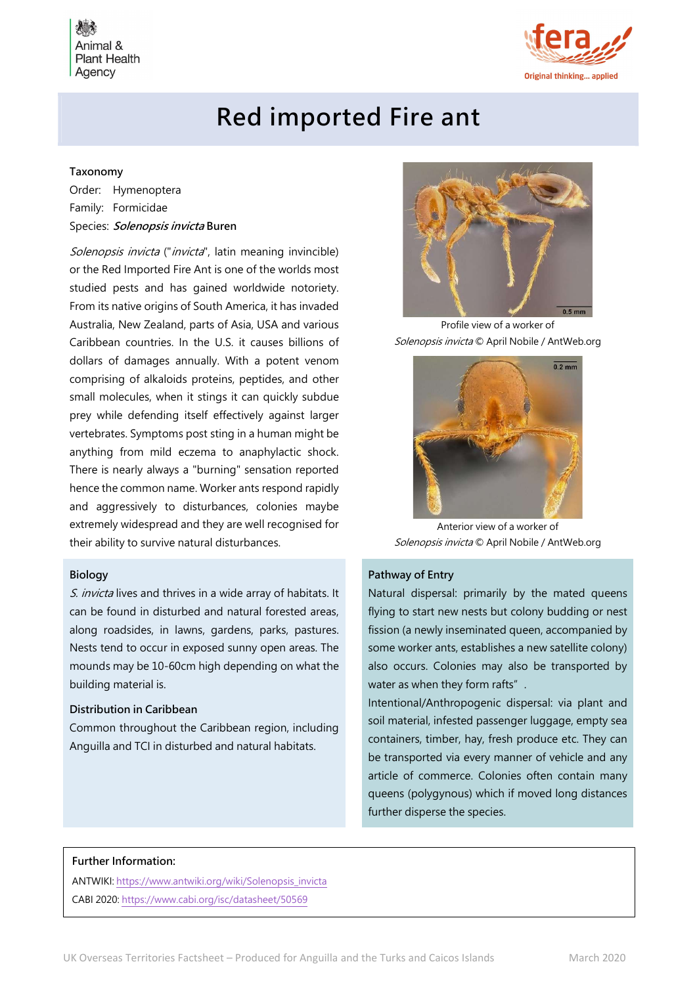Animal & **Plant Health** Agency



# Red imported Fire ant

# Taxonomy

Order: Hymenoptera Family: Formicidae Species: Solenopsis invicta Buren

Solenopsis invicta ("invicta", latin meaning invincible) or the Red Imported Fire Ant is one of the worlds most studied pests and has gained worldwide notoriety. From its native origins of South America, it has invaded Australia, New Zealand, parts of Asia, USA and various Caribbean countries. In the U.S. it causes billions of dollars of damages annually. With a potent venom comprising of alkaloids proteins, peptides, and other small molecules, when it stings it can quickly subdue prey while defending itself effectively against larger vertebrates. Symptoms post sting in a human might be anything from mild eczema to anaphylactic shock. There is nearly always a "burning" sensation reported hence the common name. Worker ants respond rapidly and aggressively to disturbances, colonies maybe extremely widespread and they are well recognised for their ability to survive natural disturbances.

#### Biology

S. invicta lives and thrives in a wide array of habitats. It can be found in disturbed and natural forested areas, along roadsides, in lawns, gardens, parks, pastures. Nests tend to occur in exposed sunny open areas. The mounds may be 10-60cm high depending on what the building material is.

# Distribution in Caribbean

Common throughout the Caribbean region, including Anguilla and TCI in disturbed and natural habitats.



Profile view of a worker of Solenopsis invicta © April Nobile / AntWeb.org



Anterior view of a worker of Solenopsis invicta © April Nobile / AntWeb.org

#### Pathway of Entry

Natural dispersal: primarily by the mated queens flying to start new nests but colony budding or nest fission (a newly inseminated queen, accompanied by some worker ants, establishes a new satellite colony) also occurs. Colonies may also be transported by water as when they form rafts".

Intentional/Anthropogenic dispersal: via plant and soil material, infested passenger luggage, empty sea containers, timber, hay, fresh produce etc. They can be transported via every manner of vehicle and any article of commerce. Colonies often contain many queens (polygynous) which if moved long distances further disperse the species.

#### Further Information:

ANTWIKI: https://www.antwiki.org/wiki/Solenopsis\_invicta CABI 2020: https://www.cabi.org/isc/datasheet/50569